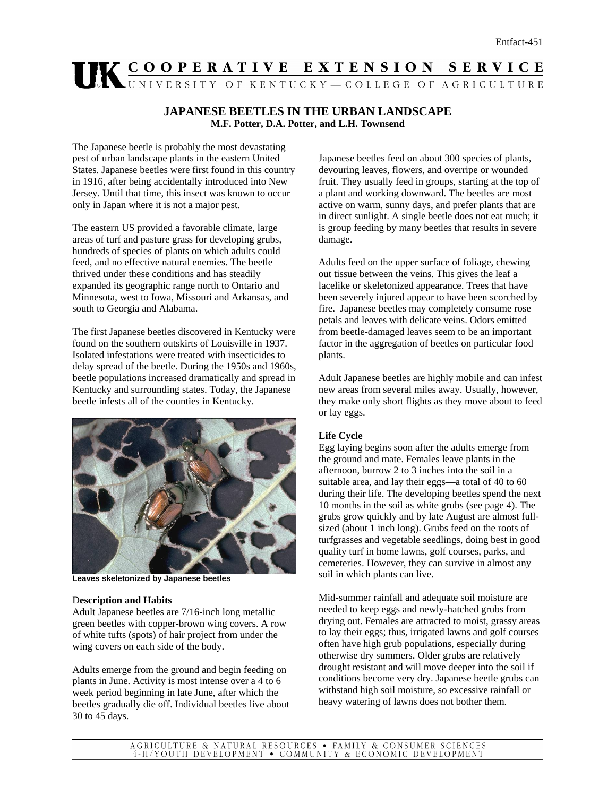# UK COOPERATIVE EXTENSION SERVICE

# **JAPANESE BEETLES IN THE URBAN LANDSCAPE M.F. Potter, D.A. Potter, and L.H. Townsend**

The Japanese beetle is probably the most devastating pest of urban landscape plants in the eastern United States. Japanese beetles were first found in this country in 1916, after being accidentally introduced into New Jersey. Until that time, this insect was known to occur only in Japan where it is not a major pest.

The eastern US provided a favorable climate, large areas of turf and pasture grass for developing grubs, hundreds of species of plants on which adults could feed, and no effective natural enemies. The beetle thrived under these conditions and has steadily expanded its geographic range north to Ontario and Minnesota, west to Iowa, Missouri and Arkansas, and south to Georgia and Alabama.

The first Japanese beetles discovered in Kentucky were found on the southern outskirts of Louisville in 1937. Isolated infestations were treated with insecticides to delay spread of the beetle. During the 1950s and 1960s, beetle populations increased dramatically and spread in Kentucky and surrounding states. Today, the Japanese beetle infests all of the counties in Kentucky.



**Leaves skeletonized by Japanese beetles** 

## D**escription and Habits**

Adult Japanese beetles are 7/16-inch long metallic green beetles with copper-brown wing covers. A row of white tufts (spots) of hair project from under the wing covers on each side of the body.

Adults emerge from the ground and begin feeding on plants in June. Activity is most intense over a 4 to 6 week period beginning in late June, after which the beetles gradually die off. Individual beetles live about 30 to 45 days.

Japanese beetles feed on about 300 species of plants, devouring leaves, flowers, and overripe or wounded fruit. They usually feed in groups, starting at the top of a plant and working downward. The beetles are most active on warm, sunny days, and prefer plants that are in direct sunlight. A single beetle does not eat much; it is group feeding by many beetles that results in severe damage.

Adults feed on the upper surface of foliage, chewing out tissue between the veins. This gives the leaf a lacelike or skeletonized appearance. Trees that have been severely injured appear to have been scorched by fire. Japanese beetles may completely consume rose petals and leaves with delicate veins. Odors emitted from beetle-damaged leaves seem to be an important factor in the aggregation of beetles on particular food plants.

Adult Japanese beetles are highly mobile and can infest new areas from several miles away. Usually, however, they make only short flights as they move about to feed or lay eggs.

# **Life Cycle**

Egg laying begins soon after the adults emerge from the ground and mate. Females leave plants in the afternoon, burrow 2 to 3 inches into the soil in a suitable area, and lay their eggs—a total of 40 to 60 during their life. The developing beetles spend the next 10 months in the soil as white grubs (see page 4). The grubs grow quickly and by late August are almost fullsized (about 1 inch long). Grubs feed on the roots of turfgrasses and vegetable seedlings, doing best in good quality turf in home lawns, golf courses, parks, and cemeteries. However, they can survive in almost any soil in which plants can live.

Mid-summer rainfall and adequate soil moisture are needed to keep eggs and newly-hatched grubs from drying out. Females are attracted to moist, grassy areas to lay their eggs; thus, irrigated lawns and golf courses often have high grub populations, especially during otherwise dry summers. Older grubs are relatively drought resistant and will move deeper into the soil if conditions become very dry. Japanese beetle grubs can withstand high soil moisture, so excessive rainfall or heavy watering of lawns does not bother them.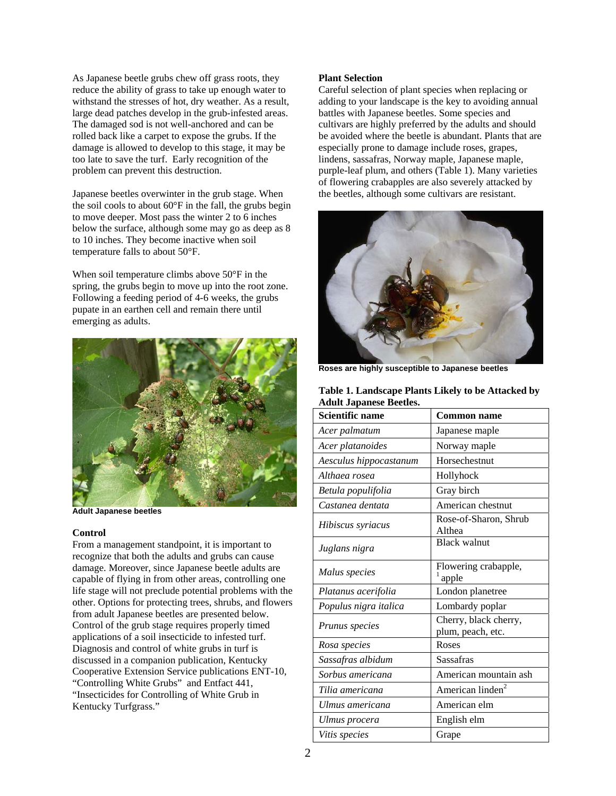As Japanese beetle grubs chew off grass roots, they reduce the ability of grass to take up enough water to withstand the stresses of hot, dry weather. As a result, large dead patches develop in the grub-infested areas. The damaged sod is not well-anchored and can be rolled back like a carpet to expose the grubs. If the damage is allowed to develop to this stage, it may be too late to save the turf. Early recognition of the problem can prevent this destruction.

Japanese beetles overwinter in the grub stage. When the soil cools to about 60°F in the fall, the grubs begin to move deeper. Most pass the winter 2 to 6 inches below the surface, although some may go as deep as 8 to 10 inches. They become inactive when soil temperature falls to about 50°F.

When soil temperature climbs above 50°F in the spring, the grubs begin to move up into the root zone. Following a feeding period of 4-6 weeks, the grubs pupate in an earthen cell and remain there until emerging as adults.



**Adult Japanese beetles** 

#### **Control**

From a management standpoint, it is important to recognize that both the adults and grubs can cause damage. Moreover, since Japanese beetle adults are capable of flying in from other areas, controlling one life stage will not preclude potential problems with the other. Options for protecting trees, shrubs, and flowers from adult Japanese beetles are presented below. Control of the grub stage requires properly timed applications of a soil insecticide to infested turf. Diagnosis and control of white grubs in turf is discussed in a companion publication, Kentucky Cooperative Extension Service publications ENT-10, "Controlling White Grubs" and Entfact 441, "Insecticides for Controlling of White Grub in Kentucky Turfgrass."

## **Plant Selection**

Careful selection of plant species when replacing or adding to your landscape is the key to avoiding annual battles with Japanese beetles. Some species and cultivars are highly preferred by the adults and should be avoided where the beetle is abundant. Plants that are especially prone to damage include roses, grapes, lindens, sassafras, Norway maple, Japanese maple, purple-leaf plum, and others (Table 1). Many varieties of flowering crabapples are also severely attacked by the beetles, although some cultivars are resistant.



**Roses are highly susceptible to Japanese beetles** 

| Table 1. Landscape Plants Likely to be Attacked by |  |
|----------------------------------------------------|--|
| <b>Adult Japanese Beetles.</b>                     |  |

| Scientific name        | <b>Common name</b>                         |  |  |
|------------------------|--------------------------------------------|--|--|
| Acer palmatum          | Japanese maple                             |  |  |
| Acer platanoides       | Norway maple                               |  |  |
| Aesculus hippocastanum | Horsechestnut                              |  |  |
| Althaea rosea          | Hollyhock                                  |  |  |
| Betula populifolia     | Gray birch                                 |  |  |
| Castanea dentata       | American chestnut                          |  |  |
| Hibiscus syriacus      | Rose-of-Sharon, Shrub<br>Althea            |  |  |
| Juglans nigra          | <b>Black walnut</b>                        |  |  |
| Malus species          | Flowering crabapple,<br>apple              |  |  |
| Platanus acerifolia    | London planetree                           |  |  |
| Populus nigra italica  | Lombardy poplar                            |  |  |
| Prunus species         | Cherry, black cherry,<br>plum, peach, etc. |  |  |
| Rosa species           | Roses                                      |  |  |
| Sassafras albidum      | Sassafras                                  |  |  |
| Sorbus americana       | American mountain ash                      |  |  |
| Tilia americana        | American linden <sup>2</sup>               |  |  |
| Ulmus americana        | American elm                               |  |  |
| Ulmus procera          | English elm                                |  |  |
| Vitis species          | Grape                                      |  |  |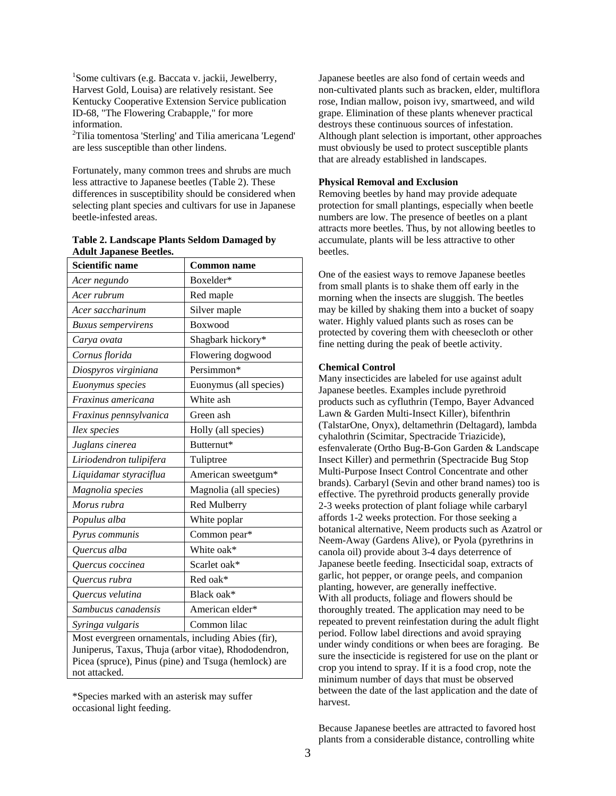1 Some cultivars (e.g. Baccata v. jackii, Jewelberry, Harvest Gold, Louisa) are relatively resistant. See Kentucky Cooperative Extension Service publication ID-68, "The Flowering Crabapple," for more information.

<sup>2</sup>Tilia tomentosa 'Sterling' and Tilia americana 'Legend' are less susceptible than other lindens.

Fortunately, many common trees and shrubs are much less attractive to Japanese beetles (Table 2). These differences in susceptibility should be considered when selecting plant species and cultivars for use in Japanese beetle-infested areas.

| Table 2. Landscape Plants Seldom Damaged by |  |  |
|---------------------------------------------|--|--|
| <b>Adult Japanese Beetles.</b>              |  |  |

| <b>Scientific name</b>                                                                                                                                                              | <b>Common name</b>     |  |  |
|-------------------------------------------------------------------------------------------------------------------------------------------------------------------------------------|------------------------|--|--|
| Acer negundo                                                                                                                                                                        | Boxelder*              |  |  |
| Acer rubrum                                                                                                                                                                         | Red maple              |  |  |
| Acer saccharinum                                                                                                                                                                    | Silver maple           |  |  |
| <b>Buxus</b> sempervirens                                                                                                                                                           | <b>Boxwood</b>         |  |  |
| Carya ovata                                                                                                                                                                         | Shagbark hickory*      |  |  |
| Cornus florida                                                                                                                                                                      | Flowering dogwood      |  |  |
| Diospyros virginiana                                                                                                                                                                | Persimmon*             |  |  |
| Euonymus species                                                                                                                                                                    | Euonymus (all species) |  |  |
| Fraxinus americana                                                                                                                                                                  | White ash              |  |  |
| Fraxinus pennsylvanica                                                                                                                                                              | Green ash              |  |  |
| Ilex species                                                                                                                                                                        | Holly (all species)    |  |  |
| Juglans cinerea                                                                                                                                                                     | Butternut*             |  |  |
| Liriodendron tulipifera                                                                                                                                                             | Tuliptree              |  |  |
| Liquidamar styraciflua                                                                                                                                                              | American sweetgum*     |  |  |
| Magnolia species                                                                                                                                                                    | Magnolia (all species) |  |  |
| Morus rubra                                                                                                                                                                         | Red Mulberry           |  |  |
| Populus alba                                                                                                                                                                        | White poplar           |  |  |
| Pyrus communis                                                                                                                                                                      | Common pear*           |  |  |
| Quercus alba                                                                                                                                                                        | White oak*             |  |  |
| Quercus coccinea                                                                                                                                                                    | Scarlet oak*           |  |  |
| Quercus rubra                                                                                                                                                                       | Red oak*               |  |  |
| Ouercus velutina                                                                                                                                                                    | Black oak*             |  |  |
| Sambucus canadensis                                                                                                                                                                 | American elder*        |  |  |
| Syringa vulgaris                                                                                                                                                                    | Common lilac           |  |  |
| Most evergreen ornamentals, including Abies (fir),<br>Juniperus, Taxus, Thuja (arbor vitae), Rhododendron,<br>Picea (spruce), Pinus (pine) and Tsuga (hemlock) are<br>not attacked. |                        |  |  |

\*Species marked with an asterisk may suffer occasional light feeding.

Japanese beetles are also fond of certain weeds and non-cultivated plants such as bracken, elder, multiflora rose, Indian mallow, poison ivy, smartweed, and wild grape. Elimination of these plants whenever practical destroys these continuous sources of infestation. Although plant selection is important, other approaches must obviously be used to protect susceptible plants that are already established in landscapes.

# **Physical Removal and Exclusion**

Removing beetles by hand may provide adequate protection for small plantings, especially when beetle numbers are low. The presence of beetles on a plant attracts more beetles. Thus, by not allowing beetles to accumulate, plants will be less attractive to other beetles.

One of the easiest ways to remove Japanese beetles from small plants is to shake them off early in the morning when the insects are sluggish. The beetles may be killed by shaking them into a bucket of soapy water. Highly valued plants such as roses can be protected by covering them with cheesecloth or other fine netting during the peak of beetle activity.

## **Chemical Control**

Many insecticides are labeled for use against adult Japanese beetles. Examples include pyrethroid products such as cyfluthrin (Tempo, Bayer Advanced Lawn & Garden Multi-Insect Killer), bifenthrin (TalstarOne, Onyx), deltamethrin (Deltagard), lambda cyhalothrin (Scimitar, Spectracide Triazicide), esfenvalerate (Ortho Bug-B-Gon Garden & Landscape Insect Killer) and permethrin (Spectracide Bug Stop Multi-Purpose Insect Control Concentrate and other brands). Carbaryl (Sevin and other brand names) too is effective. The pyrethroid products generally provide 2-3 weeks protection of plant foliage while carbaryl affords 1-2 weeks protection. For those seeking a botanical alternative, Neem products such as Azatrol or Neem-Away (Gardens Alive), or Pyola (pyrethrins in canola oil) provide about 3-4 days deterrence of Japanese beetle feeding. Insecticidal soap, extracts of garlic, hot pepper, or orange peels, and companion planting, however, are generally ineffective. With all products, foliage and flowers should be thoroughly treated. The application may need to be repeated to prevent reinfestation during the adult flight period. Follow label directions and avoid spraying under windy conditions or when bees are foraging. Be sure the insecticide is registered for use on the plant or crop you intend to spray. If it is a food crop, note the minimum number of days that must be observed between the date of the last application and the date of harvest.

Because Japanese beetles are attracted to favored host plants from a considerable distance, controlling white